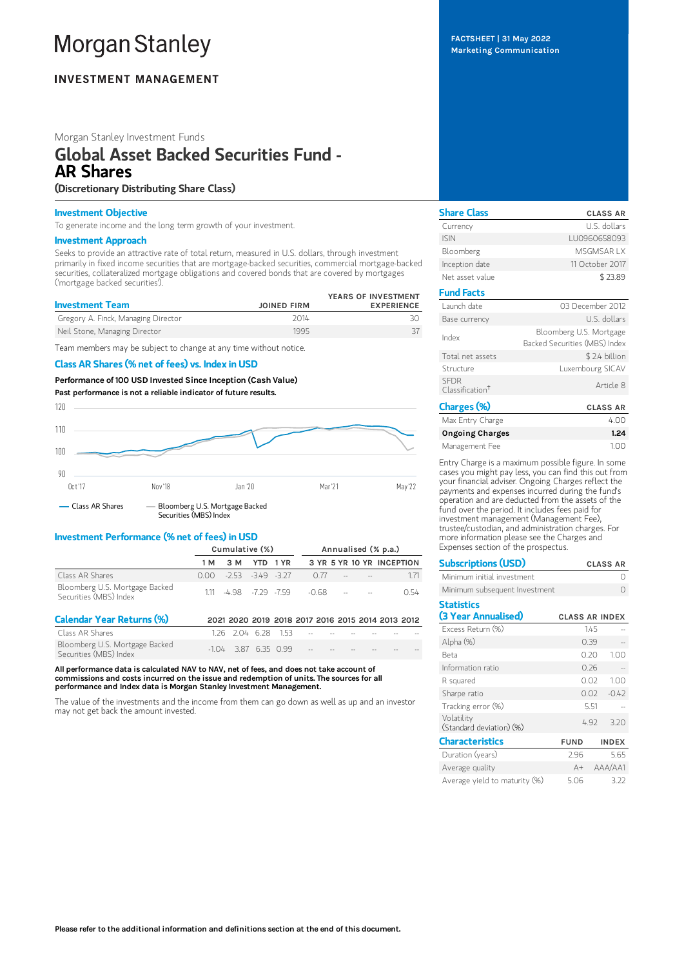# **Morgan Stanley**

# **INVESTMENT MANAGEMENT**

# Morgan Stanley Investment Funds

# Global Asset Backed Securities Fund - AR Shares

# (Discretionary Distributing Share Class)

# Investment Objective

To generate income and the long term growth of your investment.

### Investment Approach

Seeks to provide an attractive rate of total return, measured in U.S. dollars, through investment primarily in fixed income securities that are mortgage-backed securities, commercial mortgage-backed securities, collateralized mortgage obligations and covered bonds that are covered by mortgages ('mortgage backed securities').

| <b>Investment Team</b>              | <b>JOINED FIRM</b> | YEARS OF INVESTMENT<br><b>EXPERIENCE</b> |
|-------------------------------------|--------------------|------------------------------------------|
| Gregory A. Finck, Managing Director | 2014               |                                          |
| Neil Stone, Managing Director       | 1995               |                                          |

Team members may be subject to change at any time without notice.

# Class AR Shares (% net of fees) vs. Index in USD

Performance of 100 USD Invested Since Inception (Cash Value) Past performance is not a reliable indicator of future results.



# Investment Performance (% net of fees) in USD

|                                                          | Cumulative (%) |                            |  |  | Annualised (% p.a.)           |  |  |                           |
|----------------------------------------------------------|----------------|----------------------------|--|--|-------------------------------|--|--|---------------------------|
|                                                          | 1 M            | 3 M YTD 1 YR               |  |  |                               |  |  | 3 YR 5 YR 10 YR INCEPTION |
| Class AR Shares                                          |                | $0.00 - 2.53 - 349 - 3.27$ |  |  | 0.77                          |  |  |                           |
| Bloomberg U.S. Mortgage Backed<br>Securities (MBS) Index |                |                            |  |  | $111 - 498 - 729 - 759 - 068$ |  |  | O 54                      |

| <b>Calendar Year Returns (%)</b>                         |                        |  |                                   |  | 2021 2020 2019 2018 2017 2016 2015 2014 2013 2012                            |
|----------------------------------------------------------|------------------------|--|-----------------------------------|--|------------------------------------------------------------------------------|
| Class AR Shares                                          |                        |  |                                   |  | $1.26$ $2.04$ $6.28$ $1.53$ $\sim$ $\sim$ $\sim$ $\sim$ $\sim$ $\sim$ $\sim$ |
| Bloomberg U.S. Mortgage Backed<br>Securities (MBS) Index | $-1.04$ 3.87 6.35 0.99 |  | the company's company's company's |  |                                                                              |

All performance data is calculated NAV to NAV, net of fees, and does not take account of commissions and costs incurred on the issue and redemption of units. The sources for all performance and Index data is Morgan Stanley Investment Management.

The value of the investments and the income from them can go down as well as up and an investor may not get back the amount invested.

FACTSHEET | 31 May 2022 Marketing Communication

| <b>Share Class</b>                         | <b>CLASS AR</b>                                          |
|--------------------------------------------|----------------------------------------------------------|
| Currency                                   | U.S. dollars                                             |
| <b>ISIN</b>                                | LU0960658093                                             |
| Bloomberg                                  | MSGMSAR I X                                              |
| Inception date                             | 11 October 2017                                          |
| Net asset value                            | \$23.89                                                  |
| <b>Fund Facts</b>                          |                                                          |
| Launch date                                | 03 December 2012                                         |
| Base currency                              | U.S. dollars                                             |
| Index                                      | Bloomberg U.S. Mortgage<br>Backed Securities (MBS) Index |
| Total net assets                           | \$2.4 billion                                            |
| Structure                                  | Luxembourg SICAV                                         |
| <b>SFDR</b><br>Classification <sup>+</sup> | Article 8                                                |
| Charges (%)                                | <b>CLASS AR</b>                                          |
| $\cdots$ $\cdots$ $\cdots$                 | $\sim$                                                   |

| Max Entry Charge       | 4.00 |
|------------------------|------|
| <b>Ongoing Charges</b> | 1.24 |
| Management Fee         | 1.00 |

Entry Charge is a maximum possible figure. In some cases you might pay less, you can find this out from your financial adviser. Ongoing Charges reflect the payments and expenses incurred during the fund's operation and are deducted from the assets of the fund over the period. It includes fees paid for investment management (Management Fee), trustee/custodian, and administration charges. For more information please see the Charges and Expenses section of the prospectus.

| <b>Subscriptions (USD)</b>               |                       |      | <b>CLASS AR</b> |
|------------------------------------------|-----------------------|------|-----------------|
| Minimum initial investment               |                       |      | Ω               |
| Minimum subsequent Investment            |                       |      |                 |
| <b>Statistics</b><br>(3 Year Annualised) | <b>CLASS AR INDEX</b> |      |                 |
| Excess Return (%)                        |                       | 1.45 |                 |
| Alpha (%)                                |                       | 0.39 |                 |
| <b>Beta</b>                              |                       | 0.20 | 1.00            |
| Information ratio                        |                       | 0.26 |                 |
| R squared                                |                       | 0.02 | 1.00            |
| Sharpe ratio                             |                       | 0.02 | $-0.42$         |
| Tracking error (%)                       |                       | 5.51 |                 |
| Volatility<br>(Standard deviation) (%)   |                       | 4.92 | 3.20            |
| <b>Characteristics</b>                   | <b>FUND</b>           |      | <b>INDEX</b>    |
| Duration (years)                         | 2.96                  |      | 5.65            |
| Average quality                          | A+                    |      | AAA/AA1         |
| Average vield to maturity (%)            | 5.06                  |      | 3.22            |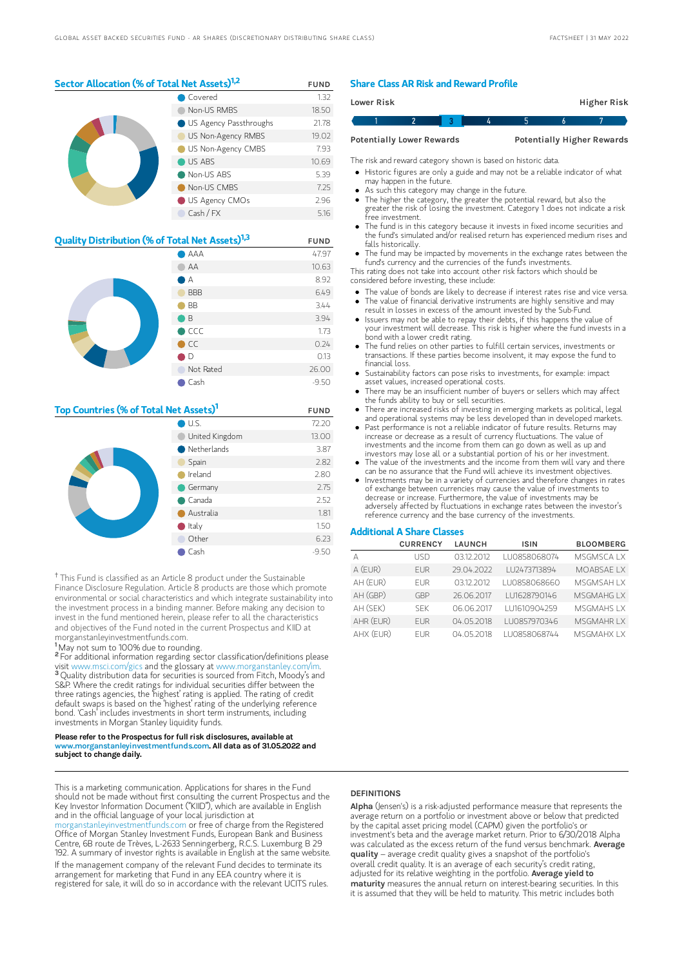# Sector Allocation (% of Total Net Assets)<sup>1,2</sup> FUND

|  | Covered                | 1.32  |
|--|------------------------|-------|
|  | Non-US RMBS            | 18.50 |
|  | US Agency Passthroughs | 21.78 |
|  | US Non-Agency RMBS     | 19.02 |
|  | US Non-Agency CMBS     | 7.93  |
|  | $\bigcirc$ US ABS      | 10.69 |
|  | Non-US ABS             | 5.39  |
|  | Non-US CMBS            | 7.25  |
|  | US Agency CMOs         | 2.96  |
|  | Cash / FX              | 5.16  |

| <b>Quality Distribution (% of Total Net Assets)</b> <sup>1,3</sup> | <b>FUND</b>    |         |
|--------------------------------------------------------------------|----------------|---------|
|                                                                    | 47.97          |         |
|                                                                    | AA             | 10.63   |
|                                                                    | А              | 8.92    |
|                                                                    | <b>BBB</b>     | 6.49    |
|                                                                    | <b>BB</b>      | 3.44    |
|                                                                    | ιB             | 3.94    |
|                                                                    | $\bigcirc$ CCC | 1.73    |
|                                                                    | $\bullet$ CC   | 0.24    |
|                                                                    | D              | 0.13    |
|                                                                    | Not Rated      | 26.00   |
|                                                                    | Cash           | $-9.50$ |

# Top Countries (% of Total Net Assets)<sup>1</sup> FUND

|  | U.S.                  | 72.20   |
|--|-----------------------|---------|
|  | United Kingdom        | 13.00   |
|  | $\bullet$ Netherlands | 3.87    |
|  | Spain                 | 2.82    |
|  | Ireland               | 2.80    |
|  | Germany               | 2.75    |
|  | $\bullet$ Canada      | 2.52    |
|  | Australia             | 1.81    |
|  | $\bullet$ Italy       | 1.50    |
|  | Other                 | 6.23    |
|  | Cash                  | $-9.50$ |

<sup>†</sup> This Fund is classified as an Article 8 product under the Sustainable Finance Disclosure Regulation. Article 8 products are those which promote environmental or social characteristics and which integrate sustainability into the investment process in a binding manner. Before making any decision to invest in the fund mentioned herein, please refer to all the characteristics and objectives of the Fund noted in the current Prospectus and KIID at morganstanleyinvestmentfunds.com.

<sup>1</sup>May not sum to 100% due to rounding.

<sup>2</sup> For additional information regarding sector classification/definitions please visit www.msci.com/gics and the glossary at www.morganstanley.com/im. <sup>3</sup> Quality distribution data for securities is sourced from Fitch, Moody's and S&P. Where the credit ratings for individual securities differ between the three ratings agencies, the 'highest' rating is applied. The rating of credit default swaps is based on the 'highest' rating of the underlying reference bond. 'Cash' includes investments in short term instruments, including investments in Morgan Stanley liquidity funds.

#### Please refer to the Prospectus for full risk disclosures, available at www.morganstanleyinvestmentfunds.com. All data as of 31.05.2022 and subject to change daily.

This is a marketing communication. Applications for shares in the Fund should not be made without first consulting the current Prospectus and the Key Investor Information Document ("KIID"), which are available in English and in the official language of your local jurisdiction at

leyinvestmentfunds.com or free of charge from the Registered Office of Morgan Stanley Investment Funds, European Bank and Business Centre, 6B route de Trèves, L-2633 Senningerberg, R.C.S. Luxemburg B 29 192. A summary of investor rights is available in English at the same website. If the management company of the relevant Fund decides to terminate its arrangement for marketing that Fund in any EEA country where it is registered for sale, it will do so in accordance with the relevant UCITS rules.

## Share Class AR Risk and Reward Profile

| Lower Risk                       |  |  |  |  | Higher Risk                       |
|----------------------------------|--|--|--|--|-----------------------------------|
|                                  |  |  |  |  |                                   |
| <b>Potentially Lower Rewards</b> |  |  |  |  | <b>Potentially Higher Rewards</b> |

The risk and reward category shown is based on historic data.

- Historic figures are only a guide and may not be a reliable indicator of what may happen in the future.
- As such this category may change in the future.
- The higher the category, the greater the potential reward, but also the greater the risk of losing the investment. Category 1 does not indicate a risk free investment.
- The fund is in this category because it invests in fixed income securities and the fund's simulated and/or realised return has experienced medium rises and falls historically.
- The fund may be impacted by movements in the exchange rates between the fund's currency and the currencies of the fund's investments.

This rating does not take into account other risk factors which should be considered before investing, these include:

- The value of bonds are likely to decrease if interest rates rise and vice versa.
- The value of financial derivative instruments are highly sensitive and may result in losses in excess of the amount invested by the Sub-Fund. Issuers may not be able to repay their debts, if this happens the value of
- your investment will decrease. This risk is higher where the fund invests in a bond with a lower credit rating.
- The fund relies on other parties to fulfill certain services, investments or transactions. If these parties become insolvent, it may expose the fund to financial loss.
- Sustainability factors can pose risks to investments, for example: impact asset values, increased operational costs.
- There may be an insufficient number of buyers or sellers which may affect the funds ability to buy or sell securities.
- There are increased risks of investing in emerging markets as political, legal and operational systems may be less developed than in developed markets.
- Past performance is not a reliable indicator of future results. Returns may increase or decrease as a result of currency fluctuations. The value of investments and the income from them can go down as well as up and investors may lose all or a substantial portion of his or her investment.
- The value of the investments and the income from them will vary and there can be no assurance that the Fund will achieve its investment objectives.
- Investments may be in a variety of currencies and therefore changes in rates of exchange between currencies may cause the value of investments to decrease or increase. Furthermore, the value of investments may be adversely affected by fluctuations in exchange rates between the investor's reference currency and the base currency of the investments.

## Additional A Share Classes

|           | <b>CURRENCY</b> | <b>LAUNCH</b> | <b>ISIN</b>  | <b>BLOOMBERG</b>   |
|-----------|-----------------|---------------|--------------|--------------------|
| Д         | LISD            | 03.12.2012    | LU0858068074 | <b>MSGMSCAIX</b>   |
| A (EUR)   | <b>FUR</b>      | 29.04.2022    | LU2473713894 | MOABSAE LX         |
| AH (EUR)  | <b>FUR</b>      | 03.12.2012    | LU0858068660 | <b>MSGMSAHIX</b>   |
| AH (GBP)  | GBP             | 26.06.2017    | LU1628790146 | <b>MSGMAHGLX</b>   |
| AH (SEK)  | <b>SFK</b>      | 06.06.2017    | LU1610904259 | <b>MSGMAHS I X</b> |
| AHR (EUR) | <b>FUR</b>      | 04.05.2018    | LU0857970346 | <b>MSGMAHRLX</b>   |
| AHX (EUR) | <b>FUR</b>      | 04.05.2018    | LU0858068744 | <b>MSGMAHX IX</b>  |

### **DEFINITIONS**

Alpha (Jensen's) is a risk-adjusted performance measure that represents the average return on a portfolio or investment above or below that predicted by the capital asset pricing model (CAPM) given the portfolio's or investment's beta and the average market return. Prior to 6/30/2018 Alpha was calculated as the excess return of the fund versus benchmark. Average quality – average credit quality gives a snapshot of the portfolio's overall credit quality. It is an average of each security's credit rating, adjusted for its relative weighting in the portfolio. Average yield to maturity measures the annual return on interest-bearing securities. In this it is assumed that they will be held to maturity. This metric includes both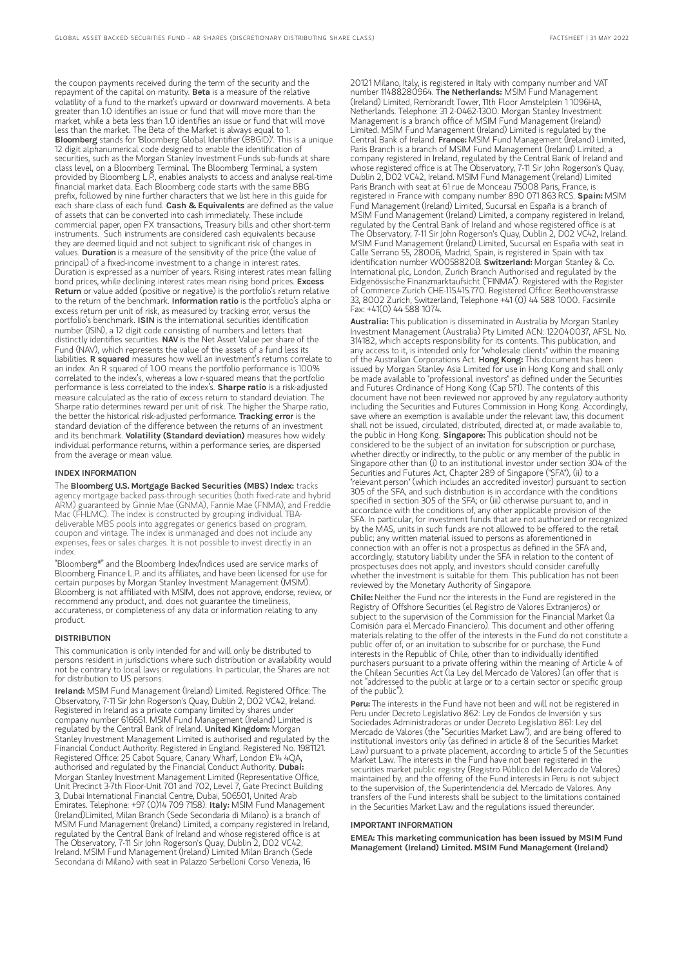the coupon payments received during the term of the security and the repayment of the capital on maturity. Beta is a measure of the relative volatility of a fund to the market's upward or downward movements. A beta greater than 1.0 identifies an issue or fund that will move more than the market, while a beta less than 1.0 identifies an issue or fund that will move less than the market. The Beta of the Market is always equal to 1.<br>**Bloomberg** stands for 'Bloomberg Global Identifier (BBGID)'. This is a unique 12 digit alphanumerical code designed to enable the identification of securities, such as the Morgan Stanley Investment Funds sub-funds at share class level, on a Bloomberg Terminal. The Bloomberg Terminal, a system provided by Bloomberg L.P., enables analysts to access and analyse real-time financial market data. Each Bloomberg code starts with the same BBG prefix, followed by nine further characters that we list here in this guide for each share class of each fund. Cash & Equivalents are defined as the value of assets that can be converted into cash immediately. These include commercial paper, open FX transactions, Treasury bills and other short-term instruments. Such instruments are considered cash equivalents because they are deemed liquid and not subject to significant risk of changes in values. Duration is a measure of the sensitivity of the price (the value of principal) of a fixed-income investment to a change in interest rates. Duration is expressed as a number of years. Rising interest rates mean falling bond prices, while declining interest rates mean rising bond prices. Excess Return or value added (positive or negative) is the portfolio's return relative to the return of the benchmark. **Information ratio** is the portfolio's alpha or excess return per unit of risk, as measured by tracking error, versus the portfolio's benchmark. ISIN is the international securities identification number (ISIN), a 12 digit code consisting of numbers and letters that distinctly identifies securities. NAV is the Net Asset Value per share of the Fund (NAV), which represents the value of the assets of a fund less its<br>liabilities. **R squared** measures how well an investment's returns correlate to an index. An R squared of 1.00 means the portfolio performance is 100% correlated to the index's, whereas a low r-squared means that the portfolio performance is less correlated to the index's. Sharpe ratio is a risk-adjusted measure calculated as the ratio of excess return to standard deviation. The Sharpe ratio determines reward per unit of risk. The higher the Sharpe ratio, the better the historical risk-adjusted performance. Tracking error is the standard deviation of the difference between the returns of an investment and its benchmark. Volatility (Standard deviation) measures how widely individual performance returns, within a performance series, are dispersed from the average or mean value.

#### INDEX INFORMATION

The Bloomberg U.S. Mortgage Backed Securities (MBS) Index: tracks agency mortgage backed pass-through securities (both fixed-rate and hybrid ARM) guaranteed by Ginnie Mae (GNMA), Fannie Mae (FNMA), and Freddie Mac (FHLMC). The index is constructed by grouping individual TBAdeliverable MBS pools into aggregates or generics based on program, coupon and vintage. The index is unmanaged and does not include any expenses, fees or sales charges. It is not possible to invest directly in an index.

"Bloomberg®" and the Bloomberg Index/Indices used are service marks of Bloomberg Finance L.P. and its affiliates, and have been licensed for use for certain purposes by Morgan Stanley Investment Management (MSIM). Bloomberg is not affiliated with MSIM, does not approve, endorse, review, or recommend any product, and. does not guarantee the timeliness, accurateness, or completeness of any data or information relating to any product.

### DISTRIBUTION

This communication is only intended for and will only be distributed to persons resident in jurisdictions where such distribution or availability would not be contrary to local laws or regulations. In particular, the Shares are not for distribution to US persons.

Ireland: MSIM Fund Management (Ireland) Limited. Registered Office: The Observatory, 7-11 Sir John Rogerson's Quay, Dublin 2, D02 VC42, Ireland. Registered in Ireland as a private company limited by shares under company number 616661. MSIM Fund Management (Ireland) Limited is<br>regulated by the Central Bank of Ireland. **United Kingdom:** Morgan Stanley Investment Management Limited is authorised and regulated by the Financial Conduct Authority. Registered in England. Registered No. 1981121. Registered Office: 25 Cabot Square, Canary Wharf, London E14 4QA,<br>authorised and regulated by the Financial Conduct Authority. **Dubai:** Morgan Stanley Investment Management Limited (Representative Office, Unit Precinct 3-7th Floor-Unit 701 and 702, Level 7, Gate Precinct Building 3, Dubai International Financial Centre, Dubai, 506501, United Arab Emirates. Telephone: +97 (0)14 709 7158). Italy: MSIM Fund Management (Ireland)Limited, Milan Branch (Sede Secondaria di Milano) is a branch of MSIM Fund Management (Ireland) Limited, a company registered in Ireland, regulated by the Central Bank of Ireland and whose registered office is at The Observatory, 7-11 Sir John Rogerson's Quay, Dublin 2, D02 VC42, Ireland. MSIM Fund Management (Ireland) Limited Milan Branch (Sede Secondaria di Milano) with seat in Palazzo Serbelloni Corso Venezia, 16

20121 Milano, Italy, is registered in Italy with company number and VAT number 11488280964. The Netherlands: MSIM Fund Management (Ireland) Limited, Rembrandt Tower, 11th Floor Amstelplein 1 1096HA, Netherlands. Telephone: 31 2-0462-1300. Morgan Stanley Investment Management is a branch office of MSIM Fund Management (Ireland) Limited. MSIM Fund Management (Ireland) Limited is regulated by the<br>Central Bank of Ireland. **France:** MSIM Fund Management (Ireland) Limited, Paris Branch is a branch of MSIM Fund Management (Ireland) Limited, a company registered in Ireland, regulated by the Central Bank of Ireland and whose registered office is at The Observatory, 7-11 Sir John Rogerson's Quay, Dublin 2, D02 VC42, Ireland. MSIM Fund Management (Ireland) Limited Paris Branch with seat at 61 rue de Monceau 75008 Paris, France, is registered in France with company number 890 071 863 RCS. Spain: MSIM Fund Management (Ireland) Limited, Sucursal en España is a branch of MSIM Fund Management (Ireland) Limited, a company registered in Ireland, regulated by the Central Bank of Ireland and whose registered office is at The Observatory, 7-11 Sir John Rogerson's Quay, Dublin 2, D02 VC42, Ireland. MSIM Fund Management (Ireland) Limited, Sucursal en España with seat in Calle Serrano 55, 28006, Madrid, Spain, is registered in Spain with tax<br>identification number W0058820B. **SwitzerIand:** Morgan Stanley & Co. International plc, London, Zurich Branch Authorised and regulated by the Eidgenössische Finanzmarktaufsicht ("FINMA"). Registered with the Register of Commerce Zurich CHE-115.415.770. Registered Office: Beethovenstrasse 33, 8002 Zurich, Switzerland, Telephone +41 (0) 44 588 1000. Facsimile Fax: +41(0) 44 588 1074.

Australia: This publication is disseminated in Australia by Morgan Stanley Investment Management (Australia) Pty Limited ACN: 122040037, AFSL No. 314182, which accepts responsibility for its contents. This publication, and any access to it, is intended only for "wholesale clients" within the meaning of the Australian Corporations Act. Hong Kong: This document has been issued by Morgan Stanley Asia Limited for use in Hong Kong and shall only be made available to "professional investors" as defined under the Securities and Futures Ordinance of Hong Kong (Cap 571). The contents of this document have not been reviewed nor approved by any regulatory authority including the Securities and Futures Commission in Hong Kong. Accordingly, save where an exemption is available under the relevant law, this document shall not be issued, circulated, distributed, directed at, or made available to, the public in Hong Kong. Singapore: This publication should not be considered to be the subject of an invitation for subscription or purchase, whether directly or indirectly, to the public or any member of the public in Singapore other than (i) to an institutional investor under section 304 of the Securities and Futures Act, Chapter 289 of Singapore ("SFA"), (ii) to a "relevant person" (which includes an accredited investor) pursuant to section 305 of the SFA, and such distribution is in accordance with the conditions specified in section 305 of the SFA; or (iii) otherwise pursuant to, and in accordance with the conditions of, any other applicable provision of the SFA. In particular, for investment funds that are not authorized or recognized by the MAS, units in such funds are not allowed to be offered to the retail public; any written material issued to persons as aforementioned in connection with an offer is not a prospectus as defined in the SFA and, accordingly, statutory liability under the SFA in relation to the content of prospectuses does not apply, and investors should consider carefully whether the investment is suitable for them. This publication has not been reviewed by the Monetary Authority of Singapore.

Chile: Neither the Fund nor the interests in the Fund are registered in the Registry of Offshore Securities (el Registro de Valores Extranjeros) or subject to the supervision of the Commission for the Financial Market (la Comisión para el Mercado Financiero). This document and other offering materials relating to the offer of the interests in the Fund do not constitute a public offer of, or an invitation to subscribe for or purchase, the Fund interests in the Republic of Chile, other than to individually identified purchasers pursuant to a private offering within the meaning of Article 4 of the Chilean Securities Act (la Ley del Mercado de Valores) (an offer that is not "addressed to the public at large or to a certain sector or specific group of the public").

**Peru:** The interests in the Fund have not been and will not be registered in Peru under Decreto Legislativo 862: Ley de Fondos de Inversión y sus Sociedades Administradoras or under Decreto Legislativo 861: Ley del Mercado de Valores (the "Securities Market Law"), and are being offered to institutional investors only (as defined in article 8 of the Securities Market Law) pursuant to a private placement, according to article 5 of the Securities Market Law. The interests in the Fund have not been registered in the securities market public registry (Registro Público del Mercado de Valores) maintained by, and the offering of the Fund interests in Peru is not subject to the supervision of, the Superintendencia del Mercado de Valores. Any transfers of the Fund interests shall be subject to the limitations contained in the Securities Market Law and the regulations issued thereunder.

#### IMPORTANT INFORMATION

EMEA: This marketing communication has been issued by MSIM Fund Management (Ireland) Limited. MSIM Fund Management (Ireland)